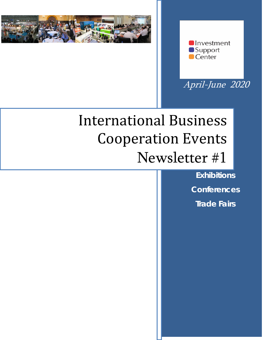



April-June 2020

# International Business Cooperation Events Newsletter #1

**Exhibitions Conferences Trade Fairs**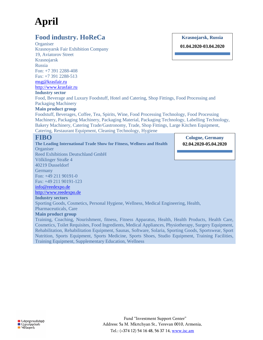# **April**

## **Food industry. HoReCa**

**Krasnojarsk, Russia**

**01.04.2020-03.04.2020**

**Organiser** Krasnoyarsk Fair Exhibition Company 19, Aviatorov Street Krasnojarsk Russia Fon: +7 391 2288-408 Fax: +7 391 2288-513 [msg@krasfair.ru](mailto:msg@krasfair.ru) http://www.krasfair.ru **Industry sector**

Food, Beverage and Luxury Foodstuff, Hotel and Catering, Shop Fittings, Food Processing and Packaging Machinery

#### **Main product group**

Foodstuff, Beverages, Coffee, Tea, Spirits, Wine, Food Processing Technology, Food Processing Machinery, Packaging Machinery, Packaging Material, Packaging Technology, Labelling Technology, Bakery Machinery, Catering Trade/Gastronomy, Trade, Shop Fittings, Large Kitchen Equipment, Catering, Restaurant Equipment, Cleaning Technology, Hygiene

## **FIBO**

**The Leading International Trade Show for Fitness, Wellness and Health Organiser** Reed Exhibitions Deutschland GmbH

**Cologne, Germany 02.04.2020-05.04.2020**

Völklinger Straße 4 40219 Dusseldorf **Germany** Fon: +49 211 90191-0 Fax: +49 211 90191-123

[info@reedexpo.de](mailto:info@reedexpo.de)

[http://www.reedexpo.de](http://www.reedexpo.de/)

#### **Industry sectors**

Sporting Goods, Cosmetics, Personal Hygiene, Wellness, Medical Engineering, Health, Pharmaceuticals, Care

#### **Main product group**

Training, Coaching, Nourishment, fitness, Fitness Apparatus, Health, Health Products, Health Care, Cosmetics, Toilet Requisites, Food Ingredients, Medical Appliances, Physiotherapy, Surgery Equipment, Rehabilitation, Rehabilitation Equipment, Saunas, Software, Solaria, Sporting Goods, Sportswear, Sport Nutrition, Sports Equipment, Sports Medicine, Sports Shoes, Studio Equipment, Training Facilities, Training Equipment, Supplementary Education, Wellness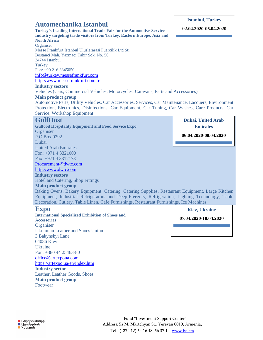## **Automechanika Istanbul**

**Turkey's Leading International Trade Fair for the Automotive Service Industry targeting trade visitors from Turkey, Eastern Europe, Asia and North Africa Organiser** 

Messe Frankfurt Istanbul Uluslararasi Fuarcilik Ltd Sti Bostanci Mah. Yazmaci Tahir Sok. No. 50 34744 Istanbul **Turkey** Fon: +90 216 3845050 [info@turkey.messefrankfurt.com](mailto:info@turkey.messefrankfurt.com) [http://www.messefrankfurt.com.tr](http://www.messefrankfurt.com.tr/)

#### **Industry sectors**

Vehicles (Cars, Commercial Vehicles, Motorcycles, Caravans, Parts and Accessories)

#### **Main product group**

Automotive Parts, Utility Vehicles, Car Accessories, Services, Car Maintenance, Lacquers, Environment Protection, Electronics, Disinfections, Car Equipment, Car Tuning, Car Washes, Care Products, Car Service, Workshop Equipment

# **GulfHost**

**Gulfood Hospitality Equipment and Food Service Expo Organiser** P.O.Box 9292 Dubai United Arab Emirates Fon: +971 4 3321000 Fax: +971 4 3312173 [Procurement@dwtc.com](mailto:Procurement@dwtc.com) [http://www.dwtc.com](http://www.dwtc.com/) **Industry sectors**

Hotel and Catering, Shop Fittings

### **Main product group**

Baking Ovens, Bakery Equipment, Catering, Catering Supplies, Restaurant Equipment, Large Kitchen Equipment, Industrial Refrigerators and Deep-Freezers, Refrigeration, Lighting Technology, Table Decoration, Cutlery, Table Linen, Cafe Furnishings, Restaurant Furnishings, Ice Machines

## **Expo**

**International Specialized Exhibition of Shoes and Accessories Organiser** Ukrainian Leather and Shoes Union 3 Bakynskyi Lane 04086 Kiev Ukraine Fon: +380 44 25463-80 [office@artexpoua.com](mailto:office@artexpoua.com) <https://artexpo.ua/en/index.htm> **Industry sector** Leather, Leather Goods, Shoes **Main product group** Footwear

**Kiev, Ukraine 07.04.2020-10.04.2020**

## **Istanbul, Turkey 02.04.2020-05.04.2020**

**Dubai, United Arab Emirates**

**06.04.2020-08.04.2020**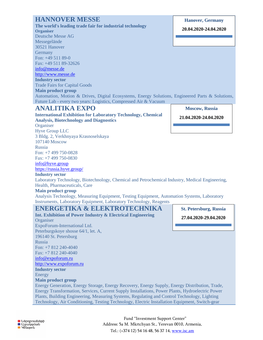| <b>HANNOVER MESSE</b>                                                                                                                                                                                                                                                                                                                              | <b>Hanover, Germany</b>       |
|----------------------------------------------------------------------------------------------------------------------------------------------------------------------------------------------------------------------------------------------------------------------------------------------------------------------------------------------------|-------------------------------|
| The world's leading trade fair for industrial technology                                                                                                                                                                                                                                                                                           | 20.04.2020-24.04.2020         |
| <b>Organiser</b>                                                                                                                                                                                                                                                                                                                                   |                               |
| <b>Deutsche Messe AG</b>                                                                                                                                                                                                                                                                                                                           |                               |
| Messegelände                                                                                                                                                                                                                                                                                                                                       |                               |
| 30521 Hanover                                                                                                                                                                                                                                                                                                                                      |                               |
| Germany                                                                                                                                                                                                                                                                                                                                            |                               |
| Fon: +49 511 89-0                                                                                                                                                                                                                                                                                                                                  |                               |
| Fax: +49 511 89-32626                                                                                                                                                                                                                                                                                                                              |                               |
| info@messe.de                                                                                                                                                                                                                                                                                                                                      |                               |
| http://www.messe.de<br><b>Industry sector</b>                                                                                                                                                                                                                                                                                                      |                               |
| <b>Trade Fairs for Capital Goods</b>                                                                                                                                                                                                                                                                                                               |                               |
| <b>Main product group</b>                                                                                                                                                                                                                                                                                                                          |                               |
| Automation, Motion & Drives, Digital Ecosystems, Energy Solutions, Engineered Parts & Solutions,                                                                                                                                                                                                                                                   |                               |
| Future Lab - every two years: Logistics, Compressed Air & Vacuum                                                                                                                                                                                                                                                                                   |                               |
|                                                                                                                                                                                                                                                                                                                                                    |                               |
| <b>ANALITIKA EXPO</b>                                                                                                                                                                                                                                                                                                                              | <b>Moscow</b> , Russia        |
| <b>International Exhibition for Laboratory Technology, Chemical</b>                                                                                                                                                                                                                                                                                | 21.04.2020-24.04.2020         |
| <b>Analysis, Biotechnology and Diagnostics</b>                                                                                                                                                                                                                                                                                                     |                               |
| Organiser                                                                                                                                                                                                                                                                                                                                          |                               |
| <b>Hyve Group LLC</b>                                                                                                                                                                                                                                                                                                                              |                               |
| 3 Bldg. 2, Verkhnyaya Krasnoselskaya                                                                                                                                                                                                                                                                                                               |                               |
| 107140 Moscow                                                                                                                                                                                                                                                                                                                                      |                               |
|                                                                                                                                                                                                                                                                                                                                                    |                               |
| Russia                                                                                                                                                                                                                                                                                                                                             |                               |
| Fon: +7 499 750-0828                                                                                                                                                                                                                                                                                                                               |                               |
| Fax: +7 499 750-0830                                                                                                                                                                                                                                                                                                                               |                               |
| info@hyve.group                                                                                                                                                                                                                                                                                                                                    |                               |
| https://russia.hyve.group/                                                                                                                                                                                                                                                                                                                         |                               |
| <b>Industry sector</b>                                                                                                                                                                                                                                                                                                                             |                               |
| Laboratory Technology, Biotechnology, Chemical and Petrochemical Industry, Medical Engineering,                                                                                                                                                                                                                                                    |                               |
| Health, Pharmaceuticals, Care                                                                                                                                                                                                                                                                                                                      |                               |
| <b>Main product group</b>                                                                                                                                                                                                                                                                                                                          |                               |
| Analysis Technology, Measuring Equipment, Testing Equipment, Automation Systems, Laboratory                                                                                                                                                                                                                                                        |                               |
|                                                                                                                                                                                                                                                                                                                                                    |                               |
| Instruments, Laboratory Equipment, Laboratory Technology, Reagents<br>ENERGETIKA & ELEKTROTECHNIKA                                                                                                                                                                                                                                                 | <b>St. Petersburg, Russia</b> |
|                                                                                                                                                                                                                                                                                                                                                    | 27.04.2020-29.04.2020         |
|                                                                                                                                                                                                                                                                                                                                                    |                               |
|                                                                                                                                                                                                                                                                                                                                                    |                               |
|                                                                                                                                                                                                                                                                                                                                                    |                               |
|                                                                                                                                                                                                                                                                                                                                                    |                               |
|                                                                                                                                                                                                                                                                                                                                                    |                               |
|                                                                                                                                                                                                                                                                                                                                                    |                               |
|                                                                                                                                                                                                                                                                                                                                                    |                               |
|                                                                                                                                                                                                                                                                                                                                                    |                               |
|                                                                                                                                                                                                                                                                                                                                                    |                               |
|                                                                                                                                                                                                                                                                                                                                                    |                               |
| Int. Exhibition of Power Industry & Electrical Engineering<br>Organiser<br>ExpoForum-International Ltd.<br>Peterburgskoye shosse 64/1, let. A,<br>196140 St. Petersburg<br>Russia<br>Fon: +7 812 240-4040<br>Fax: +7 812 240-4040<br>info@expoforum.ru<br>http://www.expoforum.ru<br><b>Industry sector</b><br>Energy<br><b>Main product group</b> |                               |
| Energy Generation, Energy Storage, Energy Recovery, Energy Supply, Energy Distribution, Trade,                                                                                                                                                                                                                                                     |                               |
| Energy Transformation, Services, Current Supply Installations, Power Plants, Hydroelectric Power                                                                                                                                                                                                                                                   |                               |
| Plants, Building Engineering, Measuring Systems, Regulating and Control Technology, Lighting<br>Technology, Air Conditioning, Testing Technology, Electric Installation Equipment, Switch-gear                                                                                                                                                     |                               |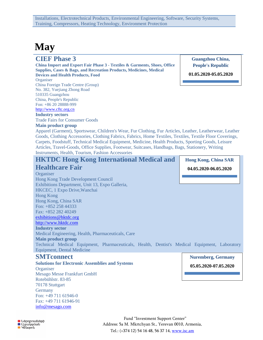# **May**

## **CIEF Phase 3**

#### **China Import and Export Fair Phase 3 - Textiles & Garments, Shoes, Office Supplies, Cases & Bags, and Recreation Products, Medicines, Medical Devices and Health Products, Food**

**Organiser** China Foreign Trade Centre (Group) No. 382, Yuejiang Zhong Road 510335 Guangzhou China, People's Republic Fon: +86 20 28888-999 [http://www.cftc.org.cn](http://www.cftc.org.cn/)

## **Industry sectors**

Trade Fairs for Consumer Goods

#### **Main product group**

**Guangzhou China, People's Republic**

**01.05.2020-05.05.2020**

I.

Apparel (Garment), Sportswear, Children's Wear, Fur Clothing, Fur Articles, Leather, Leatherwear, Leather Goods, Clothing Accessories, Clothing Fabrics, Fabrics, Home Textiles, Textiles, Textile Floor Coverings, Carpets, Foodstuff, Technical Medical Equipment, Medicine, Health Products, Sporting Goods, Leisure Articles, Travel-Goods, Office Supplies, Footwear, Suitcases, Handbags, Bags, Stationery, Writing Instruments, Health, Tourism, Fashion Accessories

| <b>HKTDC Hong Kong International Medical and</b>                                              | <b>Hong Kong, China SAR</b> |
|-----------------------------------------------------------------------------------------------|-----------------------------|
| <b>Healthcare Fair</b>                                                                        | 04.05.2020-06.05.2020       |
| Organiser                                                                                     |                             |
| Hong Kong Trade Development Council                                                           |                             |
| Exhibitions Department, Unit 13, Expo Galleria,                                               |                             |
| HKCEC, 1 Expo Drive, Wanchai                                                                  |                             |
| <b>Hong Kong</b>                                                                              |                             |
| Hong Kong, China SAR                                                                          |                             |
| Fon: $+852$ 258 44333                                                                         |                             |
| Fax: $+852$ 282 40249                                                                         |                             |
| exhibitions@hktdc.org                                                                         |                             |
| http://www.hktdc.com                                                                          |                             |
| <b>Industry sector</b>                                                                        |                             |
| Medical Engineering, Health, Pharmaceuticals, Care                                            |                             |
| <b>Main product group</b>                                                                     |                             |
| Technical Medical Equipment, Pharmaceuticals, Health, Dentist's Medical Equipment, Laboratory |                             |
| <b>Equipment, Dental Medicine</b>                                                             |                             |

## **SMTconnect**

**Solutions for Electronic Assemblies and Systems Organiser** Mesago Messe Frankfurt GmbH Rotebühlstr. 83-85 70178 Stuttgart **Germany** Fon: +49 711 61946-0 Fax: +49 711 61946-91 [info@mesago.com](mailto:info@mesago.com)

# **Nuremberg, Germany**

**05.05.2020-07.05.2020**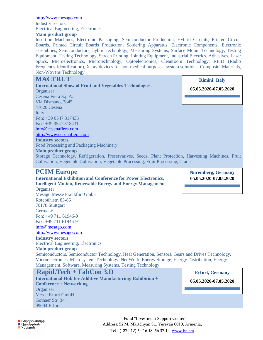[http://www.mesago.com](http://www.mesago.com/) Industry sectors Electrical Engineering, Electronics

#### **Main product group**

Insertion Machines, Electronic Packaging, Semiconductor Production, Hybrid Circuits, Printed Circuit Boards, Printed Circuit Boards Production, Soldering Apparatus, Electronic Components, Electronic assemblies, Semiconductors, hybrid technology, Measuring Systems, Surface Mount Technology, Testing Equipment, Testing Technology, Screen Printing, Jointing Equipment, Industrial Electrics, Adhesives, Laser optics, Microelectronics, Microtechnology, Optoelectronics, Cleanroom Technology, RFID (Radio Frequency Identification), X-ray devices for non-medical purposes, system solutions, Composite Materials, Non-Wovens Technology

Storage Technology, Refrigeration, Preservatives, Seeds, Plant Protection, Harvesting Machines, Fruit

### **MACFRUT**

**International Show of Fruit and Vegetables Technologies Organiser** Cesena Fiera S.p.A. Via Dismano, 3845 47020 Cesena **Italy** Fon: +39 0547 317435 Fax: +39 0547 318431 [info@cesenafiera.com](mailto:info@cesenafiera.com) [http://www.cesenafiera.com](http://www.cesenafiera.com/) **Industry sectors** Food Processing and Packaging Machinery

**Rimini; Italy**

**05.05.2020-07.05.2020**

**PCIM Europe**

**Main product group**

## **International Exhibition and Conference for Power Electronics, Intelligent Motion, Renewable Energy and Energy Management**

Cultivation, Vegetable Cultivation, Vegetable Processing, Fruit Processing, Trade

**Organiser** Mesago Messe Frankfurt GmbH Rotebühlstr. 83-85 70178 Stuttgart **Germany** Fon: +49 711 61946-0 Fax: +49 711 61946-91 [info@mesago.com](mailto:info@mesago.com)

[http://www.mesago.com](http://www.mesago.com/)

**Industry sectors** Electrical Engineering, Electronics

#### **Main product group**

Semiconductors, Semiconductor Technology, Heat Generation, Sensors, Gears and Drives Technology, Microelectronics, Microsystem Technology, Net Work, Energy Storage, Energy Distribution, Energy Management, Software, Measuring Systems, Testing Technology

#### **Rapid.Tech + FabCon 3.D International Hub for Additive Manufacturing: Exhibition + Conference + Networking Organiser** Messe Erfurt GmbH Gothaer Str. 34 99094 Erfurt

**05.05.2020-07.05.2020**

**Nuremberg, Germany** 

**Erfurt, Germany** 

**19.11.2020-21.11.2020 05.05.2020-07.05.2020**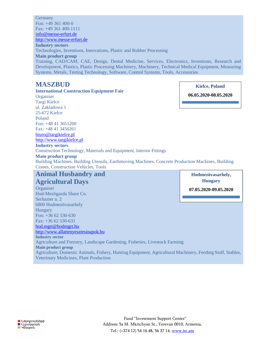**Germany** Fon: +49 361 400-0 Fax: +49 361 400-1111 [info@messe-erfurt.de](mailto:info@messe-erfurt.de) [http://www.messe-erfurt.de](http://www.messe-erfurt.de/) **Industry sectors** Technologies, Inventions, Innovations, Plastic and Rubber Processing **Main product group** Training, CAD/CAM, CAE, Design, Dental Medicine, Services, Electronics, Inventions, Research and Development, Plastics, Plastic Processing Machinery, Machinery, Technical Medical Equipment, Measuring Systems, Metals, Testing Technology, Software, Control Systems, Tools, Accessories

**Kielce, Poland**

## **MASZBUD**

**International Construction Equipment Fair Organiser** Targi Kielce ul. Zakladowa 1 25-672 Kielce Poland Fon: +48 41 3651200 Fax: +48 41 3456261 [biuro@targikielce.pl](mailto:biuro@targikielce.pl) [http://www.targikielce.pl](http://www.targikielce.pl/) **Industry sectors** Construction Technology, Materials and Equipment, Interior Fittings **Main product group** Building Machines, Building Utensils, Earthmoving Machines, Concrete Production Machines, Building Cranes, Construction Vehicles, Tools **Animal Husbandry and 06.05.2020-08.05.2020 Hodmezövasarhely,** 

# **Agricultural Days**

**Organiser** Hod-Mezögazda Share Co. Serhazter u. 2 6800 Hodmezövasarhely Hungary Fon: +36 62 530-630 Fax: +36 62 530-631 [hod.mgrt@hodmgrt.hu](mailto:hod.mgrt@hodmgrt.hu) [http://www.allattenyesztesinapok.hu](http://www.allattenyesztesinapok.hu/) **Industry sector** Agriculture and Forestry, Landscape Gardening, Fisheries, Livestock Farming **Main product group** Agriculture, Domestic Animals, Fishery, Hunting Equipment, Agricultural Machinery, Feeding Stuff, Stables, Veterinary Medicines, Plant Production **Hungary 07.05.2020-09.05.2020**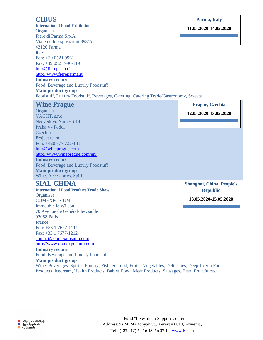## **CIBUS**

**International Food Exhibition Organiser** Fiere di Parma S.p.A. Viale delle Esposizioni 393/A 43126 Parma Italy Fon: +39 0521 9961 Fax: +39 0521 996-319 [info@fiereparma.it](mailto:info@fiereparma.it) http://www.fiereparma.it **Industry sectors** Food, Beverage and Luxury Foodstuff **Main product group** Foodstuff, Luxury Foodstuff, Beverages, Catering, Catering Trade/Gastronomy, Sweets

#### **Parma, Italy**

**11.05.2020-14.05.2020**

| <b>Wine Prague</b><br>Organiser<br>YACHT, s.r.o.<br>Nedvedovo Namesti 14<br>Praha 4 - Podol<br>Czechia                                                                                                                    | <b>Prague, Czechia</b><br>12.05.2020-13.05.2020                       |
|---------------------------------------------------------------------------------------------------------------------------------------------------------------------------------------------------------------------------|-----------------------------------------------------------------------|
| Project team<br>Fon: +420 777 722-133<br>info@wineprague.com<br>http://www.wineprague.com/en/<br><b>Industry sector</b><br>Food, Beverage and Luxury Foodstuff<br><b>Main product group</b><br>Wine, Accessories, Spirits |                                                                       |
| <b>SIAL CHINA</b><br><b>International Food Product Trade Show</b><br>Organiser<br><b>COMEXPOSIUM</b><br>Immeuble le Wilson                                                                                                | Shanghai, China, People's<br><b>Republic</b><br>13.05.2020-15.05.2020 |

**Main product group** Wine, Beverages, Spirits, Poultry, Fish, Seafood, Fruits, Vegetables, Delicacies, Deep-frozen Food Products, Icecream, Health Products, Babies Food, Meat Products, Sausages, Beer, Fruit Juices

70 Avenue de Général-de-Gaulle

Food, Beverage and Luxury Foodstuff

92058 Paris France

Fon: +33 1 7677-1111 Fax: +33 1 7677-1212 [contact@comexposium.com](mailto:contact@comexposium.com) [http://www.comexposium.com](http://www.comexposium.com/)

**Industry sectors**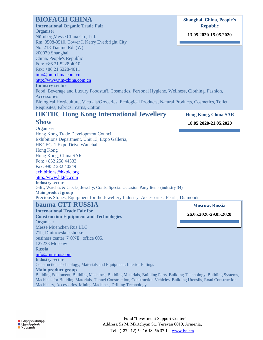## **BIOFACH CHINA**

## **International Organic Trade Fair**

**Organiser** 

NürnbergMesse China Co., Ltd. Rm. 3508-3510, Tower I, Kerry Everbright City No. 218 Tianmu Rd. (W) 200070 Shanghai China, People's Republic Fon: +86 21 5228-4010 Fax: +86 21 5228-4011

### [info@nm-china.com.cn](mailto:info@nm-china.com.cn)

[http://www.nm-china.com.cn](http://www.nm-china.com.cn/)

#### **Industry sector**

Food, Beverage and Luxury Foodstuff, Cosmetics, Personal Hygiene, Wellness, Clothing, Fashion, Accessories Biological Horticulture, Victuals/Groceries, Ecological Products, Natural Products, Cosmetics, Toilet

Requisites, Fabrics, Yarns, Cotton

# **HKTDC Hong Kong International Jewellery**

### **Show**

**Organiser** Hong Kong Trade Development Council Exhibitions Department, Unit 13, Expo Galleria, HKCEC, 1 Expo Drive,Wanchai Hong Kong Hong Kong, China SAR Fon: +852 258 44333 Fax: +852 282 40249 [exhibitions@hktdc.org](mailto:exhibitions@hktdc.org) [http://www.hktdc.com](http://www.hktdc.com/) **Industry sector** Gifts, Watches & Clocks, Jewelry, Crafts, Special Occasion Party Items (industry 34) **Main product group** Precious Stones, Equipment for the Jewellery Industry, Accessories, Pearls, Diamonds

## **bauma CTT RUSSIA**

**International Trade Fair for Construction Equipment and Technologies Organiser** Messe Muenchen Rus LLC 71b, Dmitrovskoe shosse, business center '7 ONE', office 605, 127238 Moscow Russia [info@mm-rus.com](mailto:info@mm-rus.com) **Industry sector** Construction Technology, Materials and Equipment, Interior Fittings **Main product group**

Building Equipment, Building Machines, Building Materials, Building Parts, Building Technology, Building Systems, Machines for Building Materials, Tunnel Construction, Construction Vehicles, Building Utensils, Road Construction Machinery, Accessories, Mining Machines, Drilling Technology

**Hong Kong, China SAR 18.05.2020-21.05.2020**

**Shanghai, China, People's Republic**

**13.05.2020-15.05.2020**

**Moscow, Russia**

**26.05.2020-29.05.2020**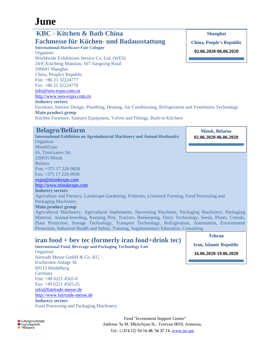# **June**

#### **KBC - Kitchen & Bath China Fachmesse für Küchen- und Badausstattung International Hardware Fair Cologne Organiser** Worldwide Exhibitions Service Co. Ltd. (WES) 24/F,Xincheng Mansion, 167 Jiangning Road 200041 Shanghai China, People's Republic Fon: +86 21 32224777 Fax: +86 21 32224770 [info@wes-expo.com.cn](mailto:info@wes-expo.com.cn) [http://www.wes-expo.com.cn](http://www.wes-expo.com.cn/) **Industry sectors** Furniture, Interior Design, Plumbing, Heating, Air Conditioning, Refrigeration and Ventilation Technology **Main product group** Kitchen Furniture, Sanitary Equipment, Valves and Fittings, Built-in Kitchens **Shanghai China, People's Republic 02.06.2020-06.06.2020**

## **Belagro/Belfarm**

**International Exhibition on Agroindustrial Machinery and Animal Husbandry Organiser** MinskExpo 65, Timiryazev Str. 220035 Minsk Belarus Fon: +375 17 226-9858 Fax: +375 17 226-9936 [expo@minskexpo.com](mailto:expo@minskexpo.com) [http://www.minskexpo.com](http://www.minskexpo.com/) **Industry sectors** Agriculture and Forestry, Landscape Gardening, Fisheries, Livestock Farming, Food Processing and Packaging Machinery **Main product group** Agricultural Machinery, Agricultural Implements, Harvesting Machines, Packaging Machinery, Packaging Material, Animal-breeding, Keeping Pets, Tractors, Beekeeping, Dairy Technology, Seeds, Plants, Cereals, Plant Protection, Storage Technology, Transport Technology, Refrigeration, Automation, Environment **Minsk, Belarus 02.06.2020-06.06.2020**

## **iran food + bev tec (formerly iran food+drink tec)**

Protection, Industrial Health and Safety, Training, Supplementary Education, Consulting

**International Food, Beverage and Packaging Technology Fair Organiser** fairtrade Messe GmbH & Co. KG Kurfürsten-Anlage 36 69115 Heidelberg **Germany** Fon: +49 6221 4565-0 Fax: +49 6221 4565-25 [info@fairtrade-messe.de](mailto:info@fairtrade-messe.de) [http://www.fairtrade-messe.de](http://www.fairtrade-messe.de/) **Industry sectors**

Food Processing and Packaging Machinery

**Tehran**

**Iran, Islamic Republic**

**16.06.2020-19.06.2020**

**O** Ներդրումների ■ Bangmada<br>■ Qgwyydwy<br>■ Yuuspny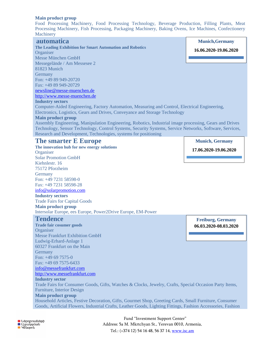#### **Main product group**

Food Processing Machinery, Food Processing Technology, Beverage Production, Filling Plants, Meat Processing Machinery, Fish Processing, Packaging Machinery, Baking Ovens, Ice Machines, Confectionery **Machinery** 

| automatica<br>The Leading Exhibition for Smart Automation and Robotics                                                                                                                                                                                                                                                                                                                                                                                                                                                  | <b>Munich, Germany</b>   |
|-------------------------------------------------------------------------------------------------------------------------------------------------------------------------------------------------------------------------------------------------------------------------------------------------------------------------------------------------------------------------------------------------------------------------------------------------------------------------------------------------------------------------|--------------------------|
| Organiser                                                                                                                                                                                                                                                                                                                                                                                                                                                                                                               | 16.06.2020-19.06.2020    |
| Messe München GmbH                                                                                                                                                                                                                                                                                                                                                                                                                                                                                                      |                          |
| Messegelände / Am Messesee 2                                                                                                                                                                                                                                                                                                                                                                                                                                                                                            |                          |
| 81823 Munich                                                                                                                                                                                                                                                                                                                                                                                                                                                                                                            |                          |
| Germany                                                                                                                                                                                                                                                                                                                                                                                                                                                                                                                 |                          |
| Fon: +49 89 949-20720                                                                                                                                                                                                                                                                                                                                                                                                                                                                                                   |                          |
| Fax: +49 89 949-20729                                                                                                                                                                                                                                                                                                                                                                                                                                                                                                   |                          |
| newsline@messe-muenchen.de                                                                                                                                                                                                                                                                                                                                                                                                                                                                                              |                          |
| http://www.messe-muenchen.de                                                                                                                                                                                                                                                                                                                                                                                                                                                                                            |                          |
| <b>Industry sectors</b>                                                                                                                                                                                                                                                                                                                                                                                                                                                                                                 |                          |
| Computer-Aided Engineering, Factory Automation, Measuring and Control, Electrical Engineering,                                                                                                                                                                                                                                                                                                                                                                                                                          |                          |
| Electronics, Logistics, Gears and Drives, Conveyance and Storage Technology                                                                                                                                                                                                                                                                                                                                                                                                                                             |                          |
| <b>Main product group</b>                                                                                                                                                                                                                                                                                                                                                                                                                                                                                               |                          |
| Assembly Engineering, Manipulation Engineering, Robotics, Industrial image processing, Gears and Drives                                                                                                                                                                                                                                                                                                                                                                                                                 |                          |
| Technology, Sensor Technology, Control Systems, Security Systems, Service Networks, Software, Services,                                                                                                                                                                                                                                                                                                                                                                                                                 |                          |
| Research and Development, Technologies, systems for positioning                                                                                                                                                                                                                                                                                                                                                                                                                                                         |                          |
| <b>The smarter E Europe</b>                                                                                                                                                                                                                                                                                                                                                                                                                                                                                             | <b>Munich, Germany</b>   |
| The innovation hub for new energy solutions                                                                                                                                                                                                                                                                                                                                                                                                                                                                             | 17.06.2020-19.06.2020    |
| Organiser                                                                                                                                                                                                                                                                                                                                                                                                                                                                                                               |                          |
| <b>Solar Promotion GmbH</b>                                                                                                                                                                                                                                                                                                                                                                                                                                                                                             |                          |
| Kiehnlestr. 16                                                                                                                                                                                                                                                                                                                                                                                                                                                                                                          |                          |
| 75172 Pforzheim                                                                                                                                                                                                                                                                                                                                                                                                                                                                                                         |                          |
| Germany                                                                                                                                                                                                                                                                                                                                                                                                                                                                                                                 |                          |
| Fon: +49 7231 58598-0                                                                                                                                                                                                                                                                                                                                                                                                                                                                                                   |                          |
| Fax: +49 7231 58598-28                                                                                                                                                                                                                                                                                                                                                                                                                                                                                                  |                          |
| info@solarpromotion.com<br><b>Industry sectors</b>                                                                                                                                                                                                                                                                                                                                                                                                                                                                      |                          |
| <b>Trade Fairs for Capital Goods</b>                                                                                                                                                                                                                                                                                                                                                                                                                                                                                    |                          |
|                                                                                                                                                                                                                                                                                                                                                                                                                                                                                                                         |                          |
|                                                                                                                                                                                                                                                                                                                                                                                                                                                                                                                         |                          |
|                                                                                                                                                                                                                                                                                                                                                                                                                                                                                                                         |                          |
|                                                                                                                                                                                                                                                                                                                                                                                                                                                                                                                         |                          |
|                                                                                                                                                                                                                                                                                                                                                                                                                                                                                                                         | <b>Freiburg, Germany</b> |
|                                                                                                                                                                                                                                                                                                                                                                                                                                                                                                                         | 06.03.2020-08.03.2020    |
|                                                                                                                                                                                                                                                                                                                                                                                                                                                                                                                         |                          |
|                                                                                                                                                                                                                                                                                                                                                                                                                                                                                                                         |                          |
|                                                                                                                                                                                                                                                                                                                                                                                                                                                                                                                         |                          |
| <b>Tendence</b><br>60327 Frankfurt on the Main                                                                                                                                                                                                                                                                                                                                                                                                                                                                          |                          |
|                                                                                                                                                                                                                                                                                                                                                                                                                                                                                                                         |                          |
|                                                                                                                                                                                                                                                                                                                                                                                                                                                                                                                         |                          |
|                                                                                                                                                                                                                                                                                                                                                                                                                                                                                                                         |                          |
|                                                                                                                                                                                                                                                                                                                                                                                                                                                                                                                         |                          |
|                                                                                                                                                                                                                                                                                                                                                                                                                                                                                                                         |                          |
| Germany                                                                                                                                                                                                                                                                                                                                                                                                                                                                                                                 |                          |
|                                                                                                                                                                                                                                                                                                                                                                                                                                                                                                                         |                          |
| <b>Main product group</b><br>Intersolar Europe, ees Europe, Power2Drive Europe, EM-Power<br><b>Trade fair cosumer goods</b><br>Organiser<br><b>Messe Frankfurt Exhibition GmbH</b><br>Ludwig-Erhard-Anlage 1<br>Fon: $+49697575-0$<br>Fax: +49 69 7575-6433<br>info@messefrankfurt.com<br>http://www.messefrankfurt.com<br><b>Industry sector</b><br>Trade Fairs for Consumer Goods, Gifts, Watches & Clocks, Jewelry, Crafts, Special Occasion Party Items,<br>Furniture, Interior Design<br><b>Main product group</b> |                          |
| Household Articles, Festive Decoration, Gifts, Gourmet Shop, Greeting Cards, Small Furniture, Consumer<br>Goods, Artificial Flowers, Industrial Crafts, Leather Goods, Lighting Fittings, Fashion Accessories, Fashion                                                                                                                                                                                                                                                                                                  |                          |

■ Ներդրումնե<br>■ Աջակսման<br>■ Կենsրոն

Address: 5a M. Mkrtchyan St., Yerevan 0010, Armenia, Tel.: (+374 12) 54 16 48, 56 37 14, [www.isc.am](http://www.isc.am/)